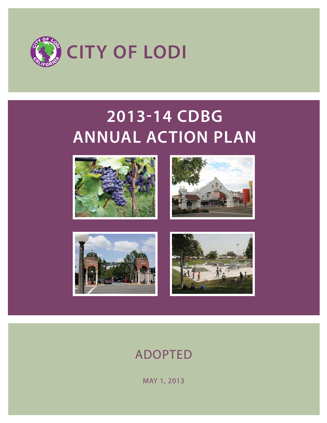

# **201314 CDBG ANNUAL ACTION PLAN**









# ADOPTED

MAY 1, 2013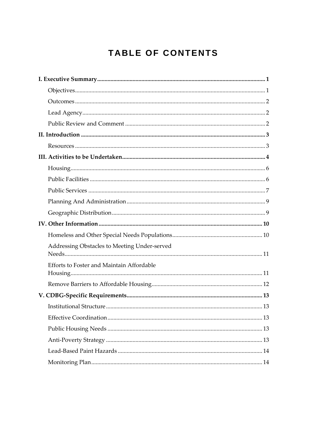# **TABLE OF CONTENTS**

| Addressing Obstacles to Meeting Under-served |  |
|----------------------------------------------|--|
|                                              |  |
| Efforts to Foster and Maintain Affordable    |  |
|                                              |  |
|                                              |  |
|                                              |  |
|                                              |  |
|                                              |  |
|                                              |  |
|                                              |  |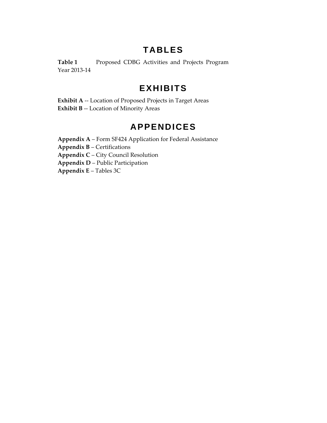# **TABLES**

**Table 1** Proposed CDBG Activities and Projects Program Year 2013‐14

# **EXHIBITS**

**Exhibit A** ‐‐ Location of Proposed Projects in Target Areas **Exhibit B** ‐‐ Location of Minority Areas

# **APPENDICES**

**Appendix A** – Form SF424 Application for Federal Assistance **Appendix B** – Certifications **Appendix C** – City Council Resolution **Appendix D** – Public Participation

**Appendix E** – Tables 3C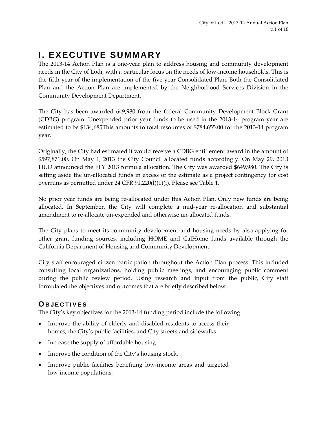# **I. EXECUTIVE SUMMARY**

The 2013‐14 Action Plan is a one‐year plan to address housing and community development needs in the City of Lodi, with a particular focus on the needs of low‐income households. This is the fifth year of the implementation of the five‐year Consolidated Plan. Both the Consolidated Plan and the Action Plan are implemented by the Neighborhood Services Division in the Community Development Department.

The City has been awarded 649,980 from the federal Community Development Block Grant (CDBG) program. Unexpended prior year funds to be used in the 2013‐14 program year are estimated to be \$134,685This amounts to total resources of \$784,655.00 for the 2013‐14 program year.

Originally, the City had estimated it would receive a CDBG entitlement award in the amount of \$597,871.00. On May 1, 2013 the City Council allocated funds accordingly. On May 29, 2013 HUD announced the FFY 2013 formula allocation. The City was awarded \$649,980. The City is setting aside the un‐allocated funds in excess of the estimate as a project contingency for cost overruns as permitted under 24 CFR 91.220(l)(1)(i). Please see Table 1.

No prior year funds are being re‐allocated under this Action Plan. Only new funds are being allocated. In September, the City will complete a mid‐year re‐allocation and substantial amendment to re‐allocate un‐expended and otherwise un‐allocated funds.

The City plans to meet its community development and housing needs by also applying for other grant funding sources, including HOME and CalHome funds available through the California Department of Housing and Community Development.

City staff encouraged citizen participation throughout the Action Plan process. This included consulting local organizations, holding public meetings, and encouraging public comment during the public review period. Using research and input from the public, City staff formulated the objectives and outcomes that are briefly described below.

# **OBJECTIVES**

The City's key objectives for the 2013‐14 funding period include the following:

- Improve the ability of elderly and disabled residents to access their homes, the City's public facilities, and City streets and sidewalks.
- Increase the supply of affordable housing.
- Improve the condition of the City's housing stock.
- Improve public facilities benefiting low-income areas and targeted low‐income populations.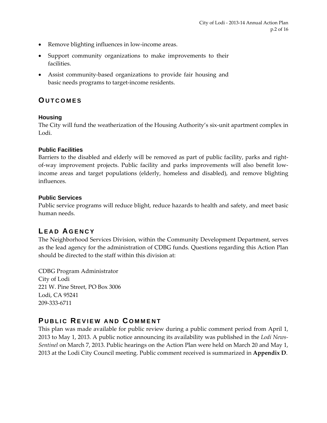- Remove blighting influences in low-income areas.
- Support community organizations to make improvements to their facilities.
- Assist community‐based organizations to provide fair housing and basic needs programs to target‐income residents.

### **OUTCOMES**

#### **Housing**

The City will fund the weatherization of the Housing Authority's six-unit apartment complex in Lodi.

#### **Public Facilities**

Barriers to the disabled and elderly will be removed as part of public facility, parks and right‐ of‐way improvement projects. Public facility and parks improvements will also benefit low‐ income areas and target populations (elderly, homeless and disabled), and remove blighting influences.

#### **Public Services**

Public service programs will reduce blight, reduce hazards to health and safety, and meet basic human needs.

# **L EAD A GENCY**

The Neighborhood Services Division, within the Community Development Department, serves as the lead agency for the administration of CDBG funds. Questions regarding this Action Plan should be directed to the staff within this division at:

CDBG Program Administrator City of Lodi 221 W. Pine Street, PO Box 3006 Lodi, CA 95241 209‐333‐6711

### **P UBLIC REVIEW AND C OMMENT**

This plan was made available for public review during a public comment period from April 1, 2013 to May 1, 2013. A public notice announcing its availability was published in the *Lodi News‐ Sentinel* on March 7, 2013. Public hearings on the Action Plan were held on March 20 and May 1, 2013 at the Lodi City Council meeting. Public comment received is summarized in **Appendix D**.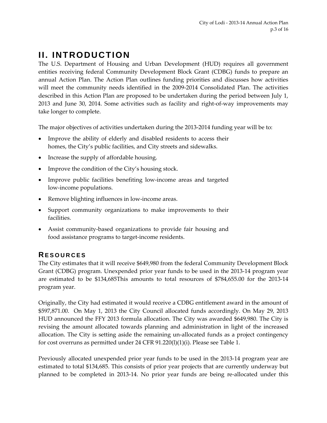# **II. INTRODUCTION**

The U.S. Department of Housing and Urban Development (HUD) requires all government entities receiving federal Community Development Block Grant (CDBG) funds to prepare an annual Action Plan. The Action Plan outlines funding priorities and discusses how activities will meet the community needs identified in the 2009‐2014 Consolidated Plan. The activities described in this Action Plan are proposed to be undertaken during the period between July 1, 2013 and June 30, 2014. Some activities such as facility and right‐of‐way improvements may take longer to complete.

The major objectives of activities undertaken during the 2013-2014 funding year will be to:

- Improve the ability of elderly and disabled residents to access their homes, the City's public facilities, and City streets and sidewalks.
- Increase the supply of affordable housing.
- Improve the condition of the City's housing stock.
- Improve public facilities benefiting low-income areas and targeted low‐income populations.
- Remove blighting influences in low-income areas.
- Support community organizations to make improvements to their facilities.
- Assist community-based organizations to provide fair housing and food assistance programs to target‐income residents.

# **RESOURCES**

The City estimates that it will receive \$649,980 from the federal Community Development Block Grant (CDBG) program. Unexpended prior year funds to be used in the 2013‐14 program year are estimated to be \$134,685This amounts to total resources of \$784,655.00 for the 2013‐14 program year.

Originally, the City had estimated it would receive a CDBG entitlement award in the amount of \$597,871.00. On May 1, 2013 the City Council allocated funds accordingly. On May 29, 2013 HUD announced the FFY 2013 formula allocation. The City was awarded \$649,980. The City is revising the amount allocated towards planning and administration in light of the increased allocation. The City is setting aside the remaining un‐allocated funds as a project contingency for cost overruns as permitted under 24 CFR 91.220(l)(1)(i). Please see Table 1.

Previously allocated unexpended prior year funds to be used in the 2013-14 program year are estimated to total \$134,685. This consists of prior year projects that are currently underway but planned to be completed in 2013-14. No prior year funds are being re-allocated under this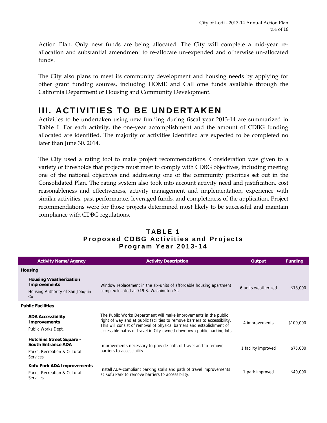Action Plan. Only new funds are being allocated. The City will complete a mid-year reallocation and substantial amendment to re‐allocate un‐expended and otherwise un‐allocated funds.

The City also plans to meet its community development and housing needs by applying for other grant funding sources, including HOME and CalHome funds available through the California Department of Housing and Community Development.

# **III. ACTIVITIES TO BE UNDERTAKEN**

Activities to be undertaken using new funding during fiscal year 2013‐14 are summarized in **Table 1**. For each activity, the one-year accomplishment and the amount of CDBG funding allocated are identified. The majority of activities identified are expected to be completed no later than June 30, 2014.

The City used a rating tool to make project recommendations. Consideration was given to a variety of thresholds that projects must meet to comply with CDBG objectives, including meeting one of the national objectives and addressing one of the community priorities set out in the Consolidated Plan. The rating system also took into account activity need and justification, cost reasonableness and effectiveness, activity management and implementation, experience with similar activities, past performance, leveraged funds, and completeness of the application. Project recommendations were for those projects determined most likely to be successful and maintain compliance with CDBG regulations.

| <b>Activity Name/Agency</b>                                                                              | <b>Activity Description</b>                                                                                                                                                                                                                                                                        | Output              | <b>Funding</b> |
|----------------------------------------------------------------------------------------------------------|----------------------------------------------------------------------------------------------------------------------------------------------------------------------------------------------------------------------------------------------------------------------------------------------------|---------------------|----------------|
| Housing                                                                                                  |                                                                                                                                                                                                                                                                                                    |                     |                |
| <b>Housing Weatherization</b><br><b>Improvements</b><br>Housing Authority of San Joaquin<br>Co           | Window replacement in the six-units of affordable housing apartment<br>complex located at 719 S. Washington St.                                                                                                                                                                                    | 6 units weatherized | \$18,000       |
| <b>Public Facilities</b>                                                                                 |                                                                                                                                                                                                                                                                                                    |                     |                |
| <b>ADA Accessibility</b><br><b>Improvements</b><br>Public Works Dept.                                    | The Public Works Department will make improvements in the public<br>right of way and at public facilities to remove barriers to accessibility.<br>This will consist of removal of physical barriers and establishment of<br>accessible paths of travel in City-owned downtown public parking lots. | 4 improvements      | \$100,000      |
| <b>Hutchins Street Square -</b><br><b>South Entrance ADA</b><br>Parks, Recreation & Cultural<br>Services | Improvements necessary to provide path of travel and to remove<br>barriers to accessibility.                                                                                                                                                                                                       | 1 facility improved | \$75,000       |
| Kofu Park ADA Improvements<br>Parks, Recreation & Cultural<br><b>Services</b>                            | Install ADA-compliant parking stalls and path of travel improvements<br>at Kofu Park to remove barriers to accessibility.                                                                                                                                                                          | 1 park improved     | \$40,000       |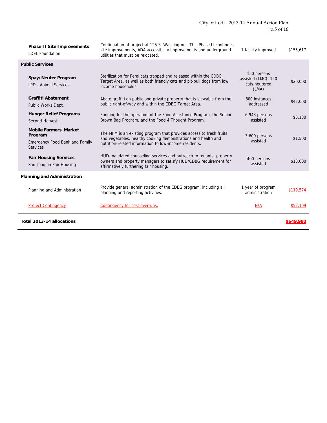| <b>Phase II Site Improvements</b><br><b>LOEL Foundation</b>                                          | Continuation of project at 125 S. Washington. This Phase II continues<br>site improvements, ADA accessibility improvements and underground<br>utilities that must be relocated.                | 1 facility improved                                          | \$155,617 |
|------------------------------------------------------------------------------------------------------|------------------------------------------------------------------------------------------------------------------------------------------------------------------------------------------------|--------------------------------------------------------------|-----------|
| <b>Public Services</b>                                                                               |                                                                                                                                                                                                |                                                              |           |
| Spay/Neuter Program<br><b>LPD - Animal Services</b>                                                  | Sterilization for Feral cats trapped and released within the CDBG<br>Target Area, as well as both friendly cats and pit-bull dogs from low<br>income households.                               | 150 persons<br>assisted (LMC), 150<br>cats neutered<br>(LMA) | \$20,000  |
| <b>Graffiti Abatement</b><br>Public Works Dept.                                                      | Abate graffiti on public and private property that is viewable from the<br>public right-of-way and within the CDBG Target Area.                                                                | 800 instances<br>addressed                                   | \$42,000  |
| <b>Hunger Relief Programs</b><br>Second Harvest                                                      | Funding for the operation of the Food Assistance Program, the Senior<br>Brown Bag Program, and the Food 4 Thought Program.                                                                     | 6,943 persons<br>assisted                                    | \$8,180   |
| <b>Mobile Farmers' Market</b><br>Program<br><b>Emergency Food Bank and Family</b><br><b>Services</b> | The MFM is an existing program that provides access to fresh fruits<br>and vegetables, healthy cooking demonstrations and health and<br>nutrition-related information to low-income residents. | 3,600 persons<br>assisted                                    | \$1,500   |
| <b>Fair Housing Services</b><br>San Joaquin Fair Housing                                             | HUD-mandated counseling services and outreach to tenants, property<br>owners and property managers to satisfy HUD/CDBG requirement for<br>affirmatively furthering fair housing.               | 400 persons<br>assisted                                      | \$18,000  |
| <b>Planning and Administration</b>                                                                   |                                                                                                                                                                                                |                                                              |           |
| Planning and Administration                                                                          | Provide general administration of the CDBG program, including all<br>planning and reporting activities.                                                                                        | 1 year of program<br>administration                          | \$119,574 |
| <b>Project Contingency</b>                                                                           | Contingency for cost overruns.                                                                                                                                                                 | N/A                                                          | \$52,109  |
| Total 2013-14 allocations                                                                            |                                                                                                                                                                                                |                                                              | \$649,980 |

Ĭ.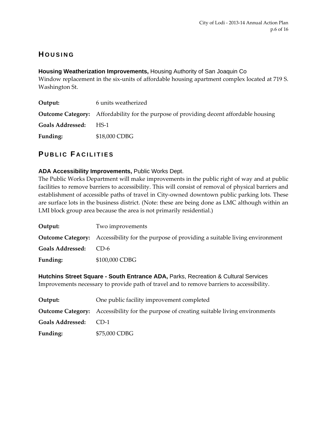# **H OUSING**

**Housing Weatherization Improvements,** Housing Authority of San Joaquin Co Window replacement in the six-units of affordable housing apartment complex located at 719 S. Washington St.

| Output:               | 6 units weatherized                                                                           |
|-----------------------|-----------------------------------------------------------------------------------------------|
|                       | <b>Outcome Category:</b> Affordability for the purpose of providing decent affordable housing |
| Goals Addressed: HS-1 |                                                                                               |
| Funding:              | \$18,000 CDBG                                                                                 |

# **P UBLIC F ACILITIES**

#### **ADA Accessibility Improvements,** Public Works Dept.

The Public Works Department will make improvements in the public right of way and at public facilities to remove barriers to accessibility. This will consist of removal of physical barriers and establishment of accessible paths of travel in City‐owned downtown public parking lots. These are surface lots in the business district. (Note: these are being done as LMC although within an LMI block group area because the area is not primarily residential.)

| Output:                 | Two improvements                                                                                  |
|-------------------------|---------------------------------------------------------------------------------------------------|
|                         | <b>Outcome Category:</b> Accessibility for the purpose of providing a suitable living environment |
| <b>Goals Addressed:</b> | $CD-6$                                                                                            |
| <b>Funding:</b>         | \$100,000 CDBG                                                                                    |

**Hutchins Street Square - South Entrance ADA,** Parks, Recreation & Cultural Services Improvements necessary to provide path of travel and to remove barriers to accessibility.

| Output:               | One public facility improvement completed                                                       |
|-----------------------|-------------------------------------------------------------------------------------------------|
|                       | <b>Outcome Category:</b> Accessibility for the purpose of creating suitable living environments |
| Goals Addressed: CD-1 |                                                                                                 |
| Funding:              | \$75,000 CDBG                                                                                   |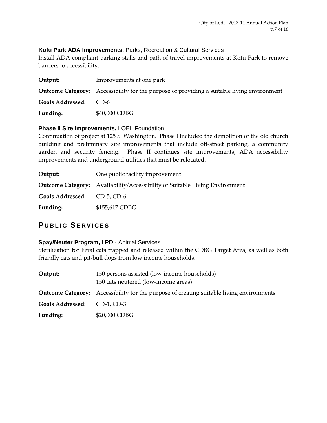#### **Kofu Park ADA Improvements,** Parks, Recreation & Cultural Services

Install ADA‐compliant parking stalls and path of travel improvements at Kofu Park to remove barriers to accessibility.

| Output:                 | Improvements at one park                                                                          |
|-------------------------|---------------------------------------------------------------------------------------------------|
|                         | <b>Outcome Category:</b> Accessibility for the purpose of providing a suitable living environment |
| <b>Goals Addressed:</b> | $CD-6$                                                                                            |
| Funding:                | \$40,000 CDBG                                                                                     |

#### **Phase II Site Improvements,** LOEL Foundation

Continuation of project at 125 S. Washington. Phase I included the demolition of the old church building and preliminary site improvements that include off‐street parking, a community garden and security fencing. Phase II continues site improvements, ADA accessibility improvements and underground utilities that must be relocated.

| Output:                     | One public facility improvement                                                    |
|-----------------------------|------------------------------------------------------------------------------------|
|                             | <b>Outcome Category:</b> Availability/Accessibility of Suitable Living Environment |
| Goals Addressed: CD-5, CD-6 |                                                                                    |
| Funding:                    | \$155,617 CDBG                                                                     |

# **P UBLIC SERVICES**

#### **Spay/Neuter Program,** LPD - Animal Services

Sterilization for Feral cats trapped and released within the CDBG Target Area, as well as both friendly cats and pit‐bull dogs from low income households.

| Output:                 | 150 persons assisted (low-income households)<br>150 cats neutered (low-income areas)            |
|-------------------------|-------------------------------------------------------------------------------------------------|
|                         | <b>Outcome Category:</b> Accessibility for the purpose of creating suitable living environments |
| <b>Goals Addressed:</b> | CD-1, CD-3                                                                                      |
| Funding:                | \$20,000 CDBG                                                                                   |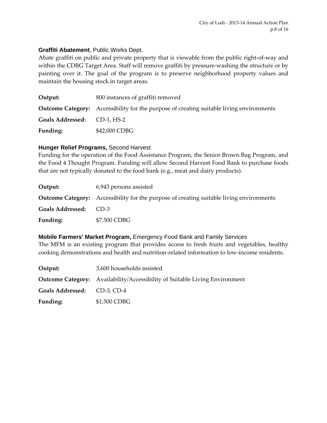#### **Graffiti Abatement**, Public Works Dept.

Abate graffiti on public and private property that is viewable from the public right‐of‐way and within the CDBG Target Area. Staff will remove graffiti by pressure-washing the structure or by painting over it. The goal of the program is to preserve neighborhood property values and maintain the housing stock in target areas.

| Output:                     | 800 instances of graffiti removed                                                               |
|-----------------------------|-------------------------------------------------------------------------------------------------|
|                             | <b>Outcome Category:</b> Accessibility for the purpose of creating suitable living environments |
| Goals Addressed: CD-1, HS-2 |                                                                                                 |
| Funding:                    | \$42,000 CDBG                                                                                   |

#### **Hunger Relief Programs,** Second Harvest

Funding for the operation of the Food Assistance Program, the Senior Brown Bag Program, and the Food 4 Thought Program. Funding will allow Second Harvest Food Bank to purchase foods that are not typically donated to the food bank (e.g., meat and dairy products).

| Output:                 | 6,943 persons assisted                                                                          |
|-------------------------|-------------------------------------------------------------------------------------------------|
|                         | <b>Outcome Category:</b> Accessibility for the purpose of creating suitable living environments |
| <b>Goals Addressed:</b> | $CD-3$                                                                                          |
| Funding:                | \$7,500 CDBG                                                                                    |

**Mobile Farmers' Market Program,** Emergency Food Bank and Family Services The MFM is an existing program that provides access to fresh fruits and vegetables, healthy cooking demonstrations and health and nutrition‐related information to low‐income residents.

| Output:                     | 3,600 households assisted                                                          |  |
|-----------------------------|------------------------------------------------------------------------------------|--|
|                             | <b>Outcome Category:</b> Availability/Accessibility of Suitable Living Environment |  |
| Goals Addressed: CD-3, CD-4 |                                                                                    |  |
| Funding:                    | \$1,500 CDBG                                                                       |  |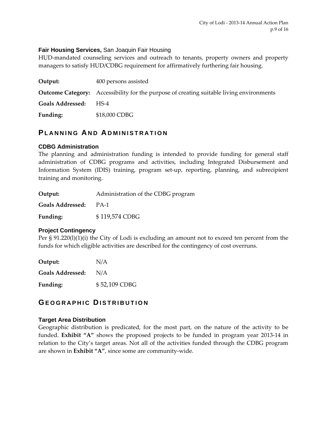#### **Fair Housing Services,** San Joaquin Fair Housing

HUD-mandated counseling services and outreach to tenants, property owners and property managers to satisfy HUD/CDBG requirement for affirmatively furthering fair housing.

| Output:               | 400 persons assisted                                                                            |
|-----------------------|-------------------------------------------------------------------------------------------------|
|                       | <b>Outcome Category:</b> Accessibility for the purpose of creating suitable living environments |
| Goals Addressed: HS-4 |                                                                                                 |
| Funding:              | \$18,000 CDBG                                                                                   |

### **PLANNING AND A DMINISTRATION**

#### **CDBG Administration**

The planning and administration funding is intended to provide funding for general staff administration of CDBG programs and activities, including Integrated Disbursement and Information System (IDIS) training, program set‐up, reporting, planning, and subrecipient training and monitoring.

| Output: | Administration of the CDBG program |
|---------|------------------------------------|
|---------|------------------------------------|

**Goals Addressed:**  PA‐1

**Funding:**  \$ 119,574 CDBG

#### **Project Contingency**

Per § 91.220(l)(1)(i) the City of Lodi is excluding an amount not to exceed ten percent from the funds for which eligible activities are described for the contingency of cost overruns.

| Output:                 | N/A           |
|-------------------------|---------------|
| <b>Goals Addressed:</b> | N/A           |
| Funding:                | \$52,109 CDBG |

### **GEOGRAPHIC DISTRIBUTION**

#### **Target Area Distribution**

Geographic distribution is predicated, for the most part, on the nature of the activity to be funded. **Exhibit "A"** shows the proposed projects to be funded in program year 2013‐14 in relation to the City's target areas. Not all of the activities funded through the CDBG program are shown in **Exhibit "A"**, since some are community‐wide.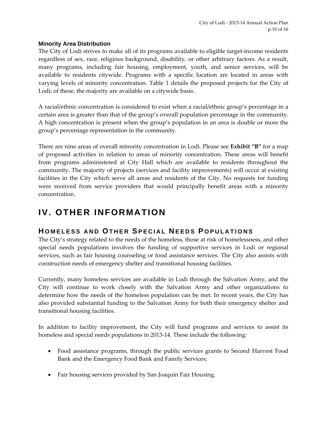#### **Minority Area Distribution**

The City of Lodi strives to make all of its programs available to eligible target-income residents regardless of sex, race, religious background, disability, or other arbitrary factors. As a result, many programs, including fair housing, employment, youth, and senior services, will be available to residents citywide. Programs with a specific location are located in areas with varying levels of minority concentration. Table 1 details the proposed projects for the City of Lodi; of these, the majority are available on a citywide basis.

A racial/ethnic concentration is considered to exist when a racial/ethnic group's percentage in a certain area is greater than that of the group's overall population percentage in the community. A high concentration is present when the group's population in an area is double or more the group's percentage representation in the community.

There are nine areas of overall minority concentration in Lodi. Please see **Exhibit "B"** for a map of proposed activities in relation to areas of minority concentration. These areas will benefit from programs administered at City Hall which are available to residents throughout the community. The majority of projects (services and facility improvements) will occur at existing facilities in the City which serve all areas and residents of the City. No requests for funding were received from service providers that would principally benefit areas with a minority concentration.

# **IV. OTHER INFORMATION**

### **H OMELESS AND OTHER SPECIAL N EEDS P OPULATIONS**

The City's strategy related to the needs of the homeless, those at risk of homelessness, and other special needs populations involves the funding of supportive services in Lodi or regional services, such as fair housing counseling or food assistance services. The City also assists with construction needs of emergency shelter and transitional housing facilities.

Currently, many homeless services are available in Lodi through the Salvation Army, and the City will continue to work closely with the Salvation Army and other organizations to determine how the needs of the homeless population can be met. In recent years, the City has also provided substantial funding to the Salvation Army for both their emergency shelter and transitional housing facilities.

In addition to facility improvement, the City will fund programs and services to assist its homeless and special needs populations in 2013-14. These include the following:

- Food assistance programs, through the public services grants to Second Harvest Food Bank and the Emergency Food Bank and Family Services;
- Fair housing services provided by San Joaquin Fair Housing.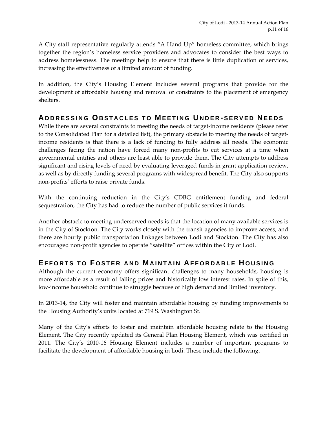A City staff representative regularly attends "A Hand Up" homeless committee, which brings together the region's homeless service providers and advocates to consider the best ways to address homelessness. The meetings help to ensure that there is little duplication of services, increasing the effectiveness of a limited amount of funding.

In addition, the City's Housing Element includes several programs that provide for the development of affordable housing and removal of constraints to the placement of emergency shelters.

### **A DDRESSING OBSTACLES TO M EETING U NDER - SERVED N EEDS**

While there are several constraints to meeting the needs of target-income residents (please refer to the Consolidated Plan for a detailed list), the primary obstacle to meeting the needs of target‐ income residents is that there is a lack of funding to fully address all needs. The economic challenges facing the nation have forced many non‐profits to cut services at a time when governmental entities and others are least able to provide them. The City attempts to address significant and rising levels of need by evaluating leveraged funds in grant application review, as well as by directly funding several programs with widespread benefit. The City also supports non‐profits' efforts to raise private funds.

With the continuing reduction in the City's CDBG entitlement funding and federal sequestration, the City has had to reduce the number of public services it funds.

Another obstacle to meeting underserved needs is that the location of many available services is in the City of Stockton. The City works closely with the transit agencies to improve access, and there are hourly public transportation linkages between Lodi and Stockton. The City has also encouraged non‐profit agencies to operate "satellite" offices within the City of Lodi.

### **EFFORTS TO F OSTER AND M AINTAIN A FFORDABLE H OUSING**

Although the current economy offers significant challenges to many households, housing is more affordable as a result of falling prices and historically low interest rates. In spite of this, low‐income household continue to struggle because of high demand and limited inventory.

In 2013‐14, the City will foster and maintain affordable housing by funding improvements to the Housing Authority's units located at 719 S. Washington St.

Many of the City's efforts to foster and maintain affordable housing relate to the Housing Element. The City recently updated its General Plan Housing Element, which was certified in 2011. The City's 2010‐16 Housing Element includes a number of important programs to facilitate the development of affordable housing in Lodi. These include the following.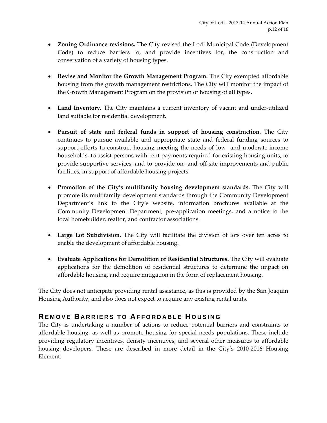- **Zoning Ordinance revisions.** The City revised the Lodi Municipal Code (Development Code) to reduce barriers to, and provide incentives for, the construction and conservation of a variety of housing types.
- **Revise and Monitor the Growth Management Program.** The City exempted affordable housing from the growth management restrictions. The City will monitor the impact of the Growth Management Program on the provision of housing of all types.
- Land Inventory. The City maintains a current inventory of vacant and under-utilized land suitable for residential development.
- **Pursuit of state and federal funds in support of housing construction.** The City continues to pursue available and appropriate state and federal funding sources to support efforts to construct housing meeting the needs of low- and moderate-income households, to assist persons with rent payments required for existing housing units, to provide supportive services, and to provide on‐ and off‐site improvements and public facilities, in support of affordable housing projects.
- **Promotion of the City's multifamily housing development standards.** The City will promote its multifamily development standards through the Community Development Department's link to the City's website, information brochures available at the Community Development Department, pre‐application meetings, and a notice to the local homebuilder, realtor, and contractor associations.
- **Large Lot Subdivision.** The City will facilitate the division of lots over ten acres to enable the development of affordable housing.
- **Evaluate Applications for Demolition of Residential Structures.** The City will evaluate applications for the demolition of residential structures to determine the impact on affordable housing, and require mitigation in the form of replacement housing.

The City does not anticipate providing rental assistance, as this is provided by the San Joaquin Housing Authority, and also does not expect to acquire any existing rental units.

### **REMOVE BARRIERS TO AFFORDABLE H OUSING**

The City is undertaking a number of actions to reduce potential barriers and constraints to affordable housing, as well as promote housing for special needs populations. These include providing regulatory incentives, density incentives, and several other measures to affordable housing developers. These are described in more detail in the City's 2010‐2016 Housing Element.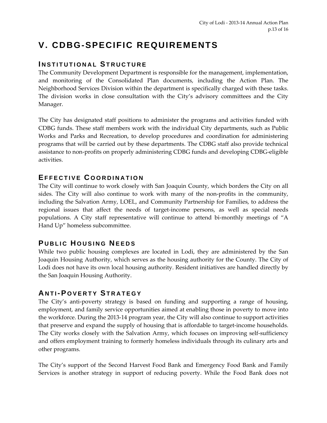# **V. CDBG-SPECIFIC REQUIREMENTS**

### **I NSTITUTIONAL STRUCTURE**

The Community Development Department is responsible for the management, implementation, and monitoring of the Consolidated Plan documents, including the Action Plan. The Neighborhood Services Division within the department is specifically charged with these tasks. The division works in close consultation with the City's advisory committees and the City Manager.

The City has designated staff positions to administer the programs and activities funded with CDBG funds. These staff members work with the individual City departments, such as Public Works and Parks and Recreation, to develop procedures and coordination for administering programs that will be carried out by these departments. The CDBG staff also provide technical assistance to non‐profits on properly administering CDBG funds and developing CDBG‐eligible activities.

#### **EFFECTIVE C OORDINATION**

The City will continue to work closely with San Joaquin County, which borders the City on all sides. The City will also continue to work with many of the non-profits in the community, including the Salvation Army, LOEL, and Community Partnership for Families, to address the regional issues that affect the needs of target‐income persons, as well as special needs populations. A City staff representative will continue to attend bi‐monthly meetings of "A Hand Up" homeless subcommittee.

# **P UBLIC H OUSING N EEDS**

While two public housing complexes are located in Lodi, they are administered by the San Joaquin Housing Authority, which serves as the housing authority for the County. The City of Lodi does not have its own local housing authority. Resident initiatives are handled directly by the San Joaquin Housing Authority.

# **A NTI- P OVERTY STRATEGY**

The City's anti-poverty strategy is based on funding and supporting a range of housing, employment, and family service opportunities aimed at enabling those in poverty to move into the workforce. During the 2013‐14 program year, the City will also continue to support activities that preserve and expand the supply of housing that is affordable to target-income households. The City works closely with the Salvation Army, which focuses on improving self-sufficiency and offers employment training to formerly homeless individuals through its culinary arts and other programs.

The City's support of the Second Harvest Food Bank and Emergency Food Bank and Family Services is another strategy in support of reducing poverty. While the Food Bank does not